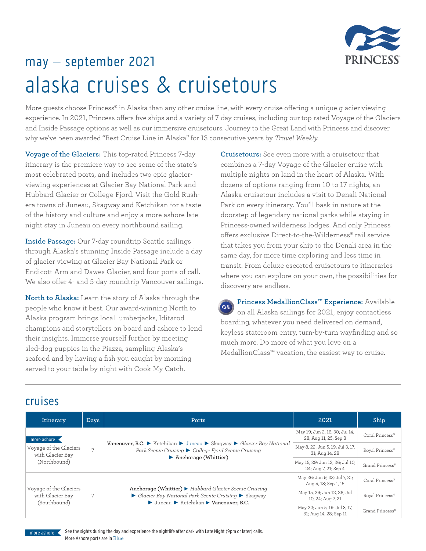

# alaska cruises & cruisetours may – september 2021

More guests choose Princess® in Alaska than any other cruise line, with every cruise offering a unique glacier viewing experience. In 2021, Princess offers five ships and a variety of 7-day cruises, including our top-rated Voyage of the Glaciers and Inside Passage options as well as our immersive cruisetours. Journey to the Great Land with Princess and discover why we've been awarded "Best Cruise Line in Alaska" for 13 consecutive years by *Travel Weekly.*

**Voyage of the Glaciers:** This top-rated Princess 7-day itinerary is the premiere way to see some of the state's most celebrated ports, and includes two epic glacierviewing experiences at Glacier Bay National Park and Hubbard Glacier or College Fjord. Visit the Gold Rushera towns of Juneau, Skagway and Ketchikan for a taste of the history and culture and enjoy a more ashore late night stay in Juneau on every northbound sailing.

**Inside Passage:** Our 7-day roundtrip Seattle sailings through Alaska's stunning Inside Passage include a day of glacier viewing at Glacier Bay National Park or Endicott Arm and Dawes Glacier, and four ports of call. We also offer 4- and 5-day roundtrip Vancouver sailings.

**North to Alaska:** Learn the story of Alaska through the people who know it best. Our award-winning North to Alaska program brings local lumberjacks, Iditarod champions and storytellers on board and ashore to lend their insights. Immerse yourself further by meeting sled-dog puppies in the Piazza, sampling Alaska's seafood and by having a fish you caught by morning served to your table by night with Cook My Catch.

**Cruisetours:** See even more with a cruisetour that combines a 7-day Voyage of the Glacier cruise with multiple nights on land in the heart of Alaska. With dozens of options ranging from 10 to 17 nights, an Alaska cruisetour includes a visit to Denali National Park on every itinerary. You'll bask in nature at the doorstep of legendary national parks while staying in Princess-owned wilderness lodges. And only Princess offers exclusive Direct-to-the-Wilderness® rail service that takes you from your ship to the Denali area in the same day, for more time exploring and less time in transit. From deluxe escorted cruisetours to itineraries where you can explore on your own, the possibilities for discovery are endless.

**Princess MedallionClass™️ Experience:** Available on all Alaska sailings for 2021, enjoy contactless boarding, whatever you need delivered on demand, keyless stateroom entry, turn-by-turn wayfinding and so much more. Do more of what you love on a MedallionClass™️ vacation, the easiest way to cruise.

#### cruises

| Itinerary                                                  | Days           | Ports                                                                                                                                                                                                             | 2021                                                    | Ship            |
|------------------------------------------------------------|----------------|-------------------------------------------------------------------------------------------------------------------------------------------------------------------------------------------------------------------|---------------------------------------------------------|-----------------|
| more ashore                                                | $\overline{7}$ |                                                                                                                                                                                                                   | May 19; Jun 2, 16, 30; Jul 14,<br>28; Aug 11, 25; Sep 8 | Coral Princess® |
| Voyage of the Glaciers<br>with Glacier Bay<br>(Northbound) |                | Vancouver, B.C. $\triangleright$ Ketchikan $\triangleright$ Juneau $\triangleright$ Skagway $\triangleright$ Glacier Bay National<br>Park Scenic Cruising > College Fjord Scenic Cruising<br>Anchorage (Whittier) | May 8, 22; Jun 5, 19: Jul 3, 17,<br>31; Aug 14, 28      | Royal Princess® |
|                                                            |                |                                                                                                                                                                                                                   | May 15, 29; Jun 12, 26; Jul 10,<br>24; Aug 7, 21; Sep 4 | Grand Princess® |
| Voyage of the Glaciers<br>with Glacier Bay<br>(Southbound) | 7              | Anchorage (Whittier) > Hubbard Glacier Scenic Cruising<br>• Glacier Bay National Park Scenic Cruising • Skagway<br>▶ Juneau ▶ Ketchikan ▶ Vancouver, B.C.                                                         | May 26; Jun 9, 23; Jul 7, 21;<br>Aug 4, 18; Sep 1, 15   | Coral Princess® |
|                                                            |                |                                                                                                                                                                                                                   | May 15, 29; Jun 12, 26; Jul<br>10, 24; Aug 7, 21        | Royal Princess® |
|                                                            |                |                                                                                                                                                                                                                   | May 22; Jun 5, 19: Jul 3, 17,<br>31; Aug 14, 28; Sep 11 | Grand Princess® |



See the sights during the day and experience the nightlife after dark with Late Night (9pm or later) calls. More Ashore ports are in Blue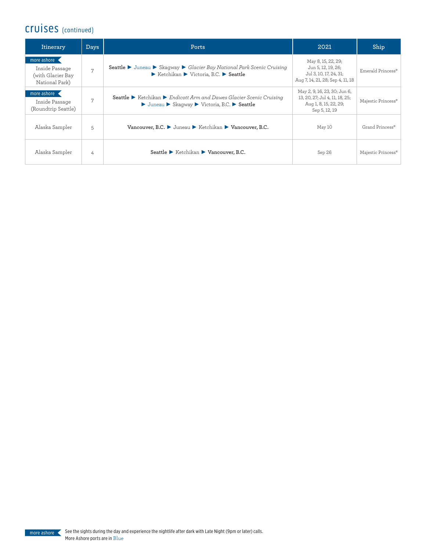#### cruises (continued)

| Itinerary                                                            | <b>Days</b> | Ports                                                                                                                                                             | 2021                                                                                                     | Ship               |
|----------------------------------------------------------------------|-------------|-------------------------------------------------------------------------------------------------------------------------------------------------------------------|----------------------------------------------------------------------------------------------------------|--------------------|
| more ashore<br>Inside Passage<br>(with Glacier Bay<br>National Park) | 7           | <b>Seattle</b> $\triangleright$ Juneau $\triangleright$ Skagway $\triangleright$ Glacier Bay National Park Scenic Cruising<br>Exerchikan EVictoria, B.C. Exercite | May 8, 15, 22, 29;<br>Jun 5, 12, 19, 26;<br>Jul 3, 10, 17, 24, 31;<br>Aug 7, 14, 21, 28; Sep 4, 11, 18   | Emerald Princess®  |
| more ashore<br>Inside Passage<br>(Roundtrip Seattle)                 | 7           | Seattle ▶ Ketchikan ▶ Endicott Arm and Dawes Glacier Scenic Cruising<br>▶ Juneau ▶ Skaqway ▶ Victoria, B.C. ▶ Seattle                                             | May 2, 9, 16, 23, 30; Jun 6,<br>13, 20, 27; Jul 4, 11, 18, 25;<br>Aug 1, 8, 15, 22, 29;<br>Sep 5, 12, 19 | Majestic Princess® |
| Alaska Sampler                                                       | 5           | Vancouver, B.C. $\blacktriangleright$ Juneau $\blacktriangleright$ Ketchikan $\blacktriangleright$ Vancouver, B.C.                                                | May 10                                                                                                   | Grand Princess®    |
| Alaska Sampler                                                       | 4           | Seattle ▶ Ketchikan ▶ Vancouver, B.C.                                                                                                                             | Sep 26                                                                                                   | Majestic Princess® |

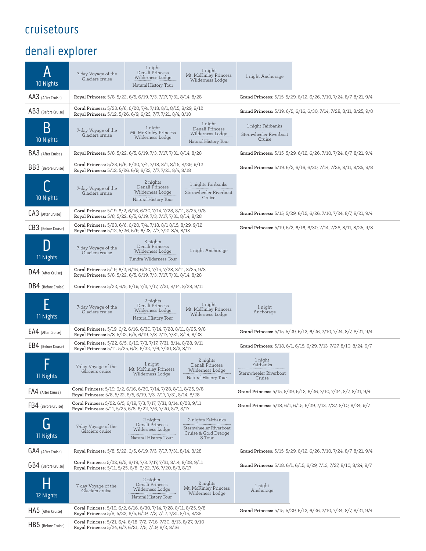### cruisetours

## denali explorer

| 10 Nights             | 7-day Voyage of the<br>Glaciers cruise                                                                                                  | 1 night<br>Denali Princess<br>Wilderness Lodge<br>Natural History Tour                                                                  | 1 night<br>Mt. McKinley Princess<br>Wilderness Lodge                           | 1 night Anchorage                                        |                                                                    |
|-----------------------|-----------------------------------------------------------------------------------------------------------------------------------------|-----------------------------------------------------------------------------------------------------------------------------------------|--------------------------------------------------------------------------------|----------------------------------------------------------|--------------------------------------------------------------------|
| AA3 (After Cruise)    |                                                                                                                                         | Royal Princess: 5/8, 5/22, 6/5, 6/19, 7/3, 7/17, 7/31, 8/14, 8/28                                                                       |                                                                                |                                                          | Grand Princess: 5/15, 5/29, 6/12, 6/26, 7/10, 7/24, 8/7, 8/21, 9/4 |
| AB3 (Before Cruise)   |                                                                                                                                         | Coral Princess: 5/23, 6/6, 6/20, 7/4, 7/18, 8/1, 8/15, 8/29, 9/12<br>Royal Princess: 5/12, 5/26, 6/9, 6/23, 7/7, 7/21, 8/4, 8/18        |                                                                                |                                                          | Grand Princess: 5/19, 6/2, 6/16, 6/30, 7/14, 7/28, 8/11, 8/25, 9/8 |
| B<br>10 Nights        | 7-day Voyage of the<br>Glaciers cruise                                                                                                  | 1 night<br>Mt. McKinley Princess<br>Wilderness Lodge                                                                                    | 1 night<br>Denali Princess<br>Wilderness Lodge<br>Natural History Tour         | 1 night Fairbanks<br>Sternwheeler Riverboat<br>Cruise    |                                                                    |
| BA3 (After Cruise)    |                                                                                                                                         | Royal Princess: 5/8, 5/22, 6/5, 6/19, 7/3, 7/17, 7/31, 8/14, 8/28                                                                       |                                                                                |                                                          | Grand Princess: 5/15, 5/29, 6/12, 6/26, 7/10, 7/24, 8/7, 8/21, 9/4 |
| BB3 (Before Cruise)   |                                                                                                                                         | Coral Princess: 5/23, 6/6, 6/20, 7/4, 7/18, 8/1, 8/15, 8/29, 9/12<br>Royal Princess: 5/12, 5/26, 6/9, 6/23, 7/7, 7/21, 8/4, 8/18        |                                                                                |                                                          | Grand Princess: 5/19, 6/2, 6/16, 6/30, 7/14, 7/28, 8/11, 8/25, 9/8 |
| 10 Nights             | 7-day Voyage of the<br>Glaciers cruise                                                                                                  | 2 nights<br>Denali Princess<br>Wilderness Lodge<br>Natural History Tour                                                                 | 1 nights Fairbanks<br>Sternwheeler Riverboat<br>Cruise                         |                                                          |                                                                    |
| CA3 (After Cruise)    |                                                                                                                                         | Coral Princess: 5/19, 6/2, 6/16, 6/30, 7/14, 7/28, 8/11, 8/25, 9/8<br>Royal Princess: 5/8, 5/22, 6/5, 6/19, 7/3, 7/17, 7/31, 8/14, 8/28 |                                                                                |                                                          | Grand Princess: 5/15, 5/29, 6/12, 6/26, 7/10, 7/24, 8/7, 8/21, 9/4 |
| CB3 (Before Cruise)   |                                                                                                                                         | Coral Princess: 5/23, 6/6, 6/20, 7/4, 7/18, 8/1 8/15, 8/29, 9/12<br>Royal Princess: 5/12, 5/26, 6/9, 6/23, 7/7, 7/21 8/4, 8/18          |                                                                                |                                                          | Grand Princess: 5/19, 6/2, 6/16, 6/30, 7/14, 7/28, 8/11, 8/25, 9/8 |
| <b>11 Nights</b>      | 7-day Voyage of the<br>Glaciers cruise                                                                                                  | 3 nights<br>Denali Princess<br>Wilderness Lodge<br>Tundra Wilderness Tour                                                               | 1 night Anchorage                                                              |                                                          |                                                                    |
| DA4 (After Cruise)    |                                                                                                                                         | Coral Princess: 5/19, 6/2, 6/16, 6/30, 7/14, 7/28, 8/11, 8/25, 9/8<br>Royal Princess: 5/8, 5/22, 6/5, 6/19, 7/3, 7/17, 7/31, 8/14, 8/28 |                                                                                |                                                          |                                                                    |
| DB4 (Before Cruise)   |                                                                                                                                         | Coral Princess: 5/22, 6/5, 6/19, 7/3, 7/17, 7/31, 8/14, 8/28, 9/11                                                                      |                                                                                |                                                          |                                                                    |
| F<br><b>11 Nights</b> | 7-day Voyage of the<br>Glaciers cruise                                                                                                  | 2 nights<br>Denali Princess<br>Wilderness Lodge<br>Natural History Tour                                                                 | 1 night<br>Mt. McKinley Princess<br>Wilderness Lodge                           | 1 night<br>Anchorage                                     |                                                                    |
| EA4 (After Cruise)    | Coral Princess: 5/19, 6/2, 6/16, 6/30, 7/14, 7/28, 8/11, 8/25, 9/8<br>Royal Princess: 5/8, 5/22, 6/5, 6/19, 7/3, 7/17, 7/31, 8/14, 8/28 |                                                                                                                                         |                                                                                |                                                          | Grand Princess: 5/15, 5/29, 6/12, 6/26, 7/10, 7/24, 8/7, 8/21, 9/4 |
| EB4 (Before Cruise)   |                                                                                                                                         | Coral Princess: 5/22, 6/5, 6/19, 7/3, 7/17, 7/31, 8/14, 8/28, 9/11<br>Royal Princess: 5/11. 5/25, 6/8, 6/22, 7/6, 7/20, 8/3, 8/17       |                                                                                |                                                          | Grand Princess: 5/18, 6/1, 6/15, 6/29, 7/13, 7/27, 8/10, 8/24, 9/7 |
| 11 Nights             | 7-day Voyage of the<br>Glaciers cruise                                                                                                  | 1 night<br>Mt. McKinley Princess<br>Wilderness Lodge                                                                                    | 2 nights<br>Denali Princess<br>Wilderness Lodge<br>Natural History Tour        | 1 night<br>Fairbanks<br>Sternwheeler Riverboat<br>Cruise |                                                                    |
| FA4 (After Cruise)    |                                                                                                                                         | Coral Princess: 5/19, 6/2, 6/16, 6/30, 7/14, 7/28, 8/11, 8/25, 9/8<br>Royal Princess: 5/8, 5/22, 6/5, 6/19, 7/3, 7/17, 7/31, 8/14, 8/28 |                                                                                |                                                          | Grand Princess: 5/15, 5/29, 6/12, 6/26, 7/10, 7/24, 8/7, 8/21, 9/4 |
| FB4 (Before Cruise)   |                                                                                                                                         | Coral Princess: 5/22, 6/5, 6/19, 7/3, 7/17, 7/31, 8/14, 8/28, 9/11<br>Royal Princess: 5/11, 5/25, 6/8, 6/22, 7/6, 7/20, 8/3, 8/17       |                                                                                |                                                          | Grand Princess: 5/18, 6/1, 6/15, 6/29, 7/13, 7/27, 8/10, 8/24, 9/7 |
| G<br><b>11 Nights</b> | 7-day Voyage of the<br>Glaciers cruise                                                                                                  | 2 nights<br>Denali Princess<br>Wilderness Lodge<br>Natural History Tour                                                                 | 2 nights Fairbanks<br>Sternwheeler Riverboat<br>Cruise & Gold Dredge<br>8 Tour |                                                          |                                                                    |
| GA4 (After Cruise)    |                                                                                                                                         | Royal Princess: 5/8, 5/22, 6/5, 6/19, 7/3, 7/17, 7/31, 8/14, 8/28                                                                       |                                                                                |                                                          | Grand Princess: 5/15, 5/29, 6/12, 6/26, 7/10, 7/24, 8/7, 8/21, 9/4 |
| GB4 (Before Cruise)   |                                                                                                                                         | Coral Princess: 5/22, 6/5, 6/19, 7/3, 7/17, 7/31, 8/14, 8/28, 9/11<br>Royal Princess: 5/11, 5/25, 6/8, 6/22, 7/6, 7/20, 8/3, 8/17       |                                                                                |                                                          | Grand Princess: 5/18, 6/1, 6/15, 6/29, 7/13, 7/27, 8/10, 8/24, 9/7 |
| п<br>12 Nights        | 7-day Voyage of the<br>Glaciers cruise                                                                                                  | 2 nights<br>Denali Princess<br>Wilderness Lodge<br>Natural History Tour                                                                 | 2 nights<br>Mt. McKinley Princess<br>Wilderness Lodge                          | 1 night<br>Anchorage                                     |                                                                    |
| HA5 (After Cruise)    | Coral Princess: 5/19, 6/2, 6/16, 6/30, 7/14, 7/28, 8/11, 8/25, 9/8<br>Royal Princess: 5/8, 5/22, 6/5, 6/19, 7/3, 7/17, 7/31, 8/14, 8/28 |                                                                                                                                         |                                                                                |                                                          | Grand Princess: 5/15, 5/29, 6/12, 6/26, 7/10, 7/24, 8/7, 8/21, 9/4 |
| HB5 (Before Cruise)   |                                                                                                                                         | Coral Princess: 5/21, 6/4, 6/18, 7/2, 7/16, 7/30, 8/13, 8/27, 9/10<br>Royal Princess: 5/24, 6/7, 6/21, 7/5, 7/19, 8/2, 8/16             |                                                                                |                                                          |                                                                    |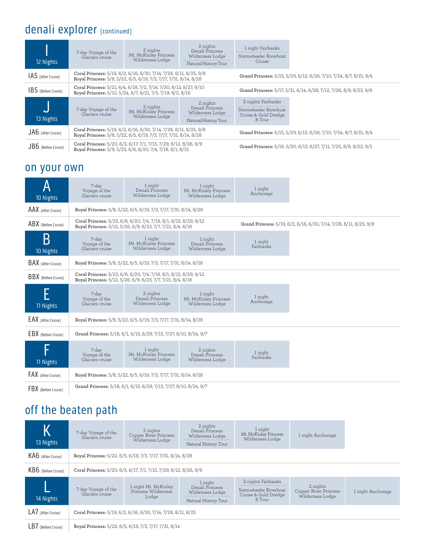### denali explorer (continued)

| 12 Nights             | 7-day Voyage of the<br>Glaciers cruise | 2 nights<br>Mt. McKinley Princess<br>Wilderness Lodge                                                                                   | 2 nights<br>Denali Princess<br>Wilderness Lodge<br>Natural History Tour | 1 night Fairbanks<br>Sternwheeler Riverboat<br>Cruise                          |                                                                    |  |
|-----------------------|----------------------------------------|-----------------------------------------------------------------------------------------------------------------------------------------|-------------------------------------------------------------------------|--------------------------------------------------------------------------------|--------------------------------------------------------------------|--|
| $IA5$ (After Cruise)  |                                        | Coral Princess: 5/19, 6/2, 6/16, 6/30, 7/14, 7/28, 8/11, 8/25, 9/8<br>Royal Princess: 5/8, 5/22, 6/5, 6/19, 7/3, 7/17, 7/31, 8/14, 8/28 |                                                                         | Grand Princess: 5/15, 5/29, 6/12, 6/26, 7/10, 7/24, 8/7, 8/21, 9/4             |                                                                    |  |
| $IB5$ (Before Cruise) |                                        | Coral Princess: 5/21, 6/4, 6/18, 7/2, 7/16, 7/30, 8/13, 8/27, 9/10<br>Royal Princess: 5/10, 5/24, 6/7, 6/21, 7/5, 7/19, 8/2, 8/16       |                                                                         | Grand Princess: 5/17, 5/31, 6/14, 6/28, 7/12, 7/26, 8/9, 8/23, 9/6             |                                                                    |  |
| 13 Nights             | 7-day Voyage of the<br>Glaciers cruise | 2 nights<br>Mt. McKinley Princess<br>Wilderness Lodge                                                                                   | 2 nights<br>Denali Princess<br>Wilderness Lodge<br>Natural History Tour | 2 nights Fairbanks<br>Sternwheeler Riverboat<br>Cruise & Gold Dredge<br>8 Tour |                                                                    |  |
| $JAG$ (After Cruise)  |                                        | Coral Princess: 5/19, 6/2, 6/16, 6/30, 7/14, 7/28, 8/11, 8/25, 9/8<br>Royal Princess: 5/8, 5/22, 6/5, 6/19, 7/3, 7/17, 7/31, 8/14, 8/28 |                                                                         | Grand Princess: 5/15, 5/29, 6/12, 6/26, 7/10, 7/24, 8/7, 8/21, 9/4             |                                                                    |  |
| $JB6$ (Before Cruise) |                                        | Coral Princess: 5/20, 6/3, 6/17, 7/1, 7/15, 7/29, 8/12, 8/26, 9/9<br>Royal Princess: 5/9, 5/23, 6/6, 6/20, 7/4, 7/18, 8/1, 8/15         |                                                                         |                                                                                | Grand Princess: 5/16, 5/30, 6/13, 6/27, 7/11, 7/25, 8/8, 8/22, 9/5 |  |

#### on your own

| 10 Nights                 | 7-day<br>Voyage of the<br>Glaciers cruise                          | 1 night<br>Denali Princess<br>Wilderness Lodge                                                                                   | 1 night<br>Mt. McKinley Princess<br>Wilderness Lodge | 1 night<br>Anchorage |                                                                    |  |
|---------------------------|--------------------------------------------------------------------|----------------------------------------------------------------------------------------------------------------------------------|------------------------------------------------------|----------------------|--------------------------------------------------------------------|--|
| AAX (After Cruise)        |                                                                    | Royal Princess: 5/8, 5/22, 6/5, 6/19, 7/3, 7/17, 7/31, 8/14, 8/28                                                                |                                                      |                      |                                                                    |  |
| ABX (Before Cruise)       |                                                                    | Coral Princess: 5/23, 6/6, 6/20, 7/4, 7/18, 8/1, 8/15, 8/29, 9/12<br>Royal Princess: 5/12, 5/26, 6/9, 6/23, 7/7, 7/21, 8/4, 8/18 |                                                      |                      | Grand Princess: 5/19, 6/2, 6/16, 6/30, 7/14, 7/28, 8/11, 8/25, 9/8 |  |
| B<br>10 Nights            | 7-day<br>Voyage of the<br>Glaciers cruise                          | 1 night<br>Mt. McKinley Princess<br>Wilderness Lodge                                                                             | 1 night<br>Denali Princess<br>Wilderness Lodge       | 1 night<br>Fairbanks |                                                                    |  |
| <b>BAX</b> (After Cruise) |                                                                    | Royal Princess: 5/8, 5/22, 6/5, 6/19, 7/3, 7/17, 7/31, 8/14, 8/28                                                                |                                                      |                      |                                                                    |  |
| BBX (Before Cruise)       |                                                                    | Coral Princess: 5/23, 6/6, 6/20, 7/4, 7/18, 8/1, 8/15, 8/29, 9/12<br>Royal Princess: 5/12, 5/26, 6/9, 6/23, 7/7, 7/21, 8/4, 8/18 |                                                      |                      |                                                                    |  |
| 11 Nights                 | 7-day<br>Voyage of the<br>Glaciers cruise                          | 2 nights<br>Denali Princess<br>Wilderness Lodge                                                                                  | 1 night<br>Mt. McKinley Princess<br>Wilderness Lodge | 1 night<br>Anchorage |                                                                    |  |
| EAX (After Cruise)        |                                                                    | Royal Princess: 5/8, 5/22, 6/5, 6/19, 7/3, 7/17, 7/31, 8/14, 8/28                                                                |                                                      |                      |                                                                    |  |
| EBX (Before Cruise)       | Grand Princess: 5/18, 6/1, 6/15, 6/29, 7/13, 7/27, 8/10, 8/24, 9/7 |                                                                                                                                  |                                                      |                      |                                                                    |  |
| L<br><b>11 Nights</b>     | 7-day<br>Voyage of the<br>Glaciers cruise                          | 1 night<br>Mt. McKinley Princess<br>Wilderness Lodge                                                                             | 2 nights<br>Denali Princess<br>Wilderness Lodge      | 1 night<br>Fairbanks |                                                                    |  |
| <b>FAX</b> (After Cruise) | Royal Princess: 5/8, 5/22, 6/5, 6/19, 7/3, 7/17, 7/31, 8/14, 8/28  |                                                                                                                                  |                                                      |                      |                                                                    |  |
| FBX (Before Cruise)       |                                                                    | Grand Princess: 5/18, 6/1, 6/15, 6/29, 7/13, 7/27, 8/10, 8/24, 9/7                                                               |                                                      |                      |                                                                    |  |

### off the beaten path

| K<br>13 Nights        | 7-day Voyage of the<br>Glaciers cruise                            | 2 nights<br><b>Copper River Princess</b><br>Wilderness Lodge | 2 nights<br>Denali Princess<br>Wilderness Lodge<br>Natural History Tour | 1 night<br>Mt. McKinley Princess<br>Wilderness Lodge                           | 1 night Anchorage                                            |                   |  |  |
|-----------------------|-------------------------------------------------------------------|--------------------------------------------------------------|-------------------------------------------------------------------------|--------------------------------------------------------------------------------|--------------------------------------------------------------|-------------------|--|--|
| KA6 (After Cruise)    | Royal Princess: 5/22, 6/5, 6/19, 7/3, 7/17, 7/31, 8/14, 8/28      |                                                              |                                                                         |                                                                                |                                                              |                   |  |  |
| KB6 (Before Cruise)   | Coral Princess: 5/20, 6/3, 6/17, 7/1, 7/15, 7/29, 8/12, 8/26, 9/9 |                                                              |                                                                         |                                                                                |                                                              |                   |  |  |
| 14 Nights             | 7-day Voyage of the<br>Glaciers cruise                            | 1 night Mt. McKinley<br>Princess Wilderness<br>Lodge         | 1 night<br>Denali Princess<br>Wilderness Lodge<br>Natural History Tour  | 2 nights Fairbanks<br>Sternwheeler Riverboat<br>Cruise & Gold Dredge<br>8 Tour | 2 nights<br><b>Copper River Princess</b><br>Wilderness Lodge | 1 night Anchorage |  |  |
| $LA7$ (After Cruise)  | Coral Princess: 5/19, 6/2, 6/16, 6/30, 7/14, 7/28, 8/11, 8/25     |                                                              |                                                                         |                                                                                |                                                              |                   |  |  |
| $LB7$ (Before Cruise) | Royal Princess: 5/22, 6/5, 6/19, 7/3, 7/17, 7/31, 8/14            |                                                              |                                                                         |                                                                                |                                                              |                   |  |  |